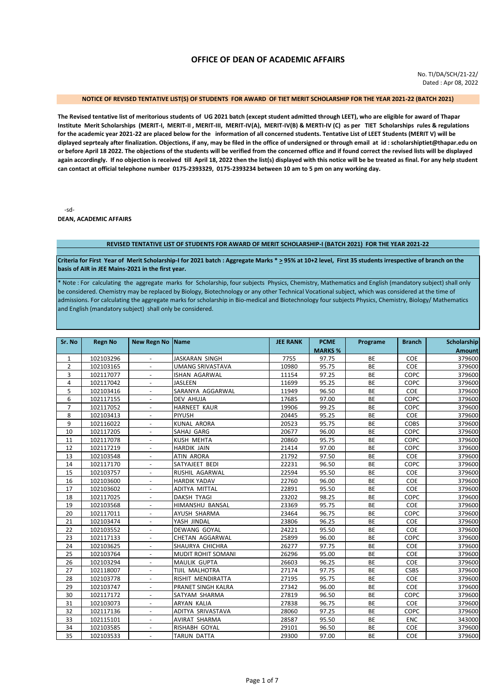# **OFFICE OF DEAN OF ACADEMIC AFFAIRS**

No. TI/DA/SCH/21-22/ Dated : Apr 08, 2022

### **NOTICE OF REVISED TENTATIVE LIST(S) OF STUDENTS FOR AWARD OF TIET MERIT SCHOLARSHIP FOR THE YEAR 2021-22 (BATCH 2021)**

**The Revised tentative list of meritorious students of UG 2021 batch (except student admitted through LEET), who are eligible for award of Thapar Institute Merit Scholarships (MERIT-I, MERIT-II , MERIT-III, MERIT-IV(A), MERIT-IV(B) & MERTI-IV (C) as per TIET Scholarships rules & regulations for the academic year 2021-22 are placed below for the information of all concerned students. Tentative List of LEET Students (MERIT V) will be diplayed seprtealy after finalization. Objections, if any, may be filed in the office of undersigned or through email at id : scholarshiptiet@thapar.edu on or before April 18 2022. The objections of the students will be verified from the concerned office and if found correct the revised lists will be displayed again accordingly. If no objection is received till April 18, 2022 then the list(s) displayed with this notice will be be treated as final. For any help student can contact at official telephone number 0175-2393329, 0175-2393234 between 10 am to 5 pm on any working day.** 

-sd-

**DEAN, ACADEMIC AFFAIRS**

#### **REVISED TENTATIVE LIST OF STUDENTS FOR AWARD OF MERIT SCHOLARSHIP-I (BATCH 2021) FOR THE YEAR 2021-22**

**Criteria for First Year of Merit Scholarship-I for 2021 batch : Aggregate Marks \* > 95% at 10+2 level, First 35 students irrespective of branch on the basis of AIR in JEE Mains-2021 in the first year.**

\* Note : For calculating the aggregate marks for Scholarship, four subjects Physics, Chemistry, Mathematics and English (mandatory subject) shall only be considered. Chemistry may be replaced by Biology, Biotechnology or any other Technical Vocational subject, which was considered at the time of admissions. For calculating the aggregate marks for scholarship in Bio-medical and Biotechnology four subjects Physics, Chemistry, Biology/ Mathematics and English (mandatory subject) shall only be considered.

| Sr. No         | <b>Regn No</b> | <b>New Regn No</b>       | <b>Name</b>               | <b>JEE RANK</b> | <b>PCME</b>    | Programe  | <b>Branch</b> | Scholarship   |
|----------------|----------------|--------------------------|---------------------------|-----------------|----------------|-----------|---------------|---------------|
|                |                |                          |                           |                 | <b>MARKS %</b> |           |               | <b>Amount</b> |
| $\mathbf{1}$   | 102103296      |                          | <b>JASKARAN SINGH</b>     | 7755            | 97.75          | <b>BE</b> | COE           | 379600        |
| $\overline{2}$ | 102103165      |                          | <b>UMANG SRIVASTAVA</b>   | 10980           | 95.75          | BE        | COE           | 379600        |
| 3              | 102117077      |                          | ISHAN AGARWAL             | 11154           | 97.25          | <b>BE</b> | COPC          | 379600        |
| $\overline{4}$ | 102117042      |                          | <b>JASLEEN</b>            | 11699           | 95.25          | <b>BE</b> | COPC          | 379600        |
| 5              | 102103416      | $\overline{a}$           | SARANYA AGGARWAL          | 11949           | 96.50          | BE        | COE           | 379600        |
| 6              | 102117155      |                          | <b>DEV AHUJA</b>          | 17685           | 97.00          | <b>BE</b> | COPC          | 379600        |
| $\overline{7}$ | 102117052      |                          | <b>HARNEET KAUR</b>       | 19906           | 99.25          | <b>BE</b> | COPC          | 379600        |
| 8              | 102103413      |                          | <b>PIYUSH</b>             | 20445           | 95.25          | <b>BE</b> | COE           | 379600        |
| 9              | 102116022      |                          | <b>KUNAL ARORA</b>        | 20523           | 95.75          | <b>BE</b> | <b>COBS</b>   | 379600        |
| 10             | 102117205      | $\overline{\phantom{a}}$ | SAHAJ GARG                | 20677           | 96.00          | BE        | COPC          | 379600        |
| 11             | 102117078      | $\overline{\phantom{a}}$ | <b>KUSH MEHTA</b>         | 20860           | 95.75          | <b>BE</b> | COPC          | 379600        |
| 12             | 102117219      |                          | <b>HARDIK JAIN</b>        | 21414           | 97.00          | <b>BE</b> | COPC          | 379600        |
| 13             | 102103548      |                          | <b>ATIN ARORA</b>         | 21792           | 97.50          | <b>BE</b> | COE           | 379600        |
| 14             | 102117170      | $\overline{\phantom{a}}$ | SATYAJEET BEDI            | 22231           | 96.50          | <b>BE</b> | COPC          | 379600        |
| 15             | 102103757      | $\overline{\phantom{a}}$ | RUSHIL AGARWAL            | 22594           | 95.50          | BE        | COE           | 379600        |
| 16             | 102103600      | $\overline{\phantom{a}}$ | <b>HARDIK YADAV</b>       | 22760           | 96.00          | <b>BE</b> | COE           | 379600        |
| 17             | 102103602      | $\overline{\phantom{a}}$ | <b>ADITYA MITTAL</b>      | 22891           | 95.50          | <b>BE</b> | COE           | 379600        |
| 18             | 102117025      | $\blacksquare$           | <b>DAKSH TYAGI</b>        | 23202           | 98.25          | <b>BE</b> | COPC          | 379600        |
| 19             | 102103568      | $\overline{\phantom{a}}$ | HIMANSHU BANSAL           | 23369           | 95.75          | <b>BE</b> | COE           | 379600        |
| 20             | 102117011      | $\overline{a}$           | <b>AYUSH SHARMA</b>       | 23464           | 96.75          | <b>BE</b> | COPC          | 379600        |
| 21             | 102103474      | $\overline{a}$           | YASH JINDAL               | 23806           | 96.25          | <b>BE</b> | COE           | 379600        |
| 22             | 102103552      |                          | <b>DEWANG GOYAL</b>       | 24221           | 95.50          | <b>BE</b> | COE           | 379600        |
| 23             | 102117133      | $\blacksquare$           | CHETAN AGGARWAL           | 25899           | 96.00          | <b>BE</b> | COPC          | 379600        |
| 24             | 102103625      | $\overline{a}$           | SHAURYA CHICHRA           | 26277           | 97.75          | <b>BE</b> | COE           | 379600        |
| 25             | 102103764      | $\overline{a}$           | MUDIT ROHIT SOMANI        | 26296           | 95.00          | BE        | COE           | 379600        |
| 26             | 102103294      | $\overline{\phantom{a}}$ | <b>MAULIK GUPTA</b>       | 26603           | 96.25          | <b>BE</b> | COE           | 379600        |
| 27             | 102118007      | $\overline{\phantom{a}}$ | TIJIL MALHOTRA            | 27174           | 97.75          | <b>BE</b> | <b>CSBS</b>   | 379600        |
| 28             | 102103778      | $\overline{a}$           | RISHIT MENDIRATTA         | 27195           | 95.75          | BE        | COE           | 379600        |
| 29             | 102103747      | $\overline{\phantom{a}}$ | <b>PRANET SINGH KALRA</b> | 27342           | 96.00          | <b>BE</b> | COE           | 379600        |
| 30             | 102117172      | $\blacksquare$           | SATYAM SHARMA             | 27819           | 96.50          | <b>BE</b> | COPC          | 379600        |
| 31             | 102103073      | $\overline{\phantom{a}}$ | <b>ARYAN KALIA</b>        | 27838           | 96.75          | <b>BE</b> | COE           | 379600        |
| 32             | 102117136      | $\blacksquare$           | ADITYA SRIVASTAVA         | 28060           | 97.25          | <b>BE</b> | COPC          | 379600        |
| 33             | 102115101      | $\blacksquare$           | <b>AVIRAT SHARMA</b>      | 28587           | 95.50          | <b>BE</b> | ENC           | 343000        |
| 34             | 102103585      | $\overline{\phantom{a}}$ | RISHABH GOYAL             | 29101           | 96.50          | <b>BE</b> | COE           | 379600        |
| 35             | 102103533      | $\overline{\phantom{a}}$ | TARUN DATTA               | 29300           | 97.00          | BE        | COE           | 379600        |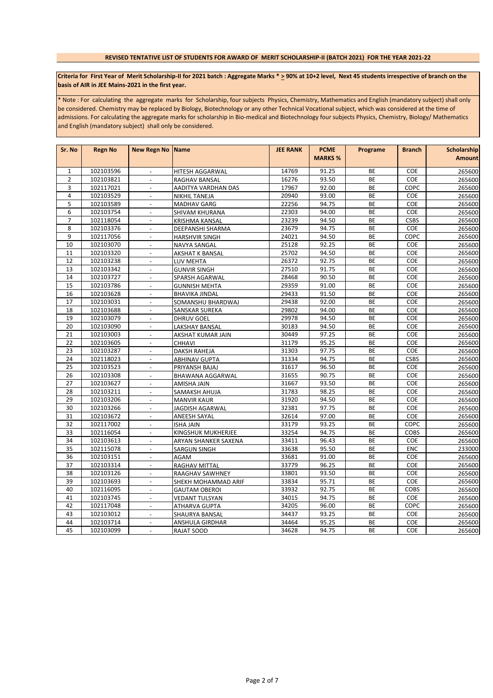# **REVISED TENTATIVE LIST OF STUDENTS FOR AWARD OF MERIT SCHOLARSHIP-II (BATCH 2021) FOR THE YEAR 2021-22**

# Criteria for First Year of Merit Scholarship-II for 2021 batch : Aggregate Marks \* > 90% at 10+2 level, Next 45 students irrespective of branch on the **basis of AIR in JEE Mains-2021 in the first year.**

\* Note : For calculating the aggregate marks for Scholarship, four subjects Physics, Chemistry, Mathematics and English (mandatory subject) shall only be considered. Chemistry may be replaced by Biology, Biotechnology or any other Technical Vocational subject, which was considered at the time of admissions. For calculating the aggregate marks for scholarship in Bio-medical and Biotechnology four subjects Physics, Chemistry, Biology/ Mathematics and English (mandatory subject) shall only be considered.

| Sr. No          | <b>Regn No</b> | <b>New Regn No Name</b>  |                        | <b>JEE RANK</b> | <b>PCME</b>    | Programe  | <b>Branch</b> | Scholarship   |
|-----------------|----------------|--------------------------|------------------------|-----------------|----------------|-----------|---------------|---------------|
|                 |                |                          |                        |                 | <b>MARKS %</b> |           |               | <b>Amount</b> |
| $\mathbf{1}$    | 102103596      | $\overline{\phantom{a}}$ | <b>HITESH AGGARWAL</b> | 14769           | 91.25          | <b>BE</b> | COE           | 265600        |
| $\overline{2}$  | 102103821      |                          | RAGHAV BANSAL          | 16276           | 93.50          | BE        | COE           | 265600        |
| 3               | 102117021      | $\overline{\phantom{a}}$ | AADITYA VARDHAN DAS    | 17967           | 92.00          | BE        | COPC          | 265600        |
| $\overline{4}$  | 102103529      | $\blacksquare$           | NIKHIL TANEJA          | 20940           | 93.00          | BE        | COE           | 265600        |
| 5               | 102103589      | $\mathbb{Z}^+$           | MADHAV GARG            | 22256           | 94.75          | <b>BE</b> | COE           | 265600        |
| 6               | 102103754      | $\overline{\phantom{a}}$ | SHIVAM KHURANA         | 22303           | 94.00          | BE        | COE           | 265600        |
| $\overline{7}$  | 102118054      | $\overline{\phantom{a}}$ | <b>KRISHMA KANSAL</b>  | 23239           | 94.50          | BE        | <b>CSBS</b>   | 265600        |
| 8               | 102103376      | $\overline{\phantom{a}}$ | DEEPANSHI SHARMA       | 23679           | 94.75          | BE        | COE           | 265600        |
| 9               | 102117056      |                          | <b>HARSHVIR SINGH</b>  | 24021           | 94.50          | <b>BE</b> | COPC          | 265600        |
| 10              | 102103070      | $\overline{\phantom{a}}$ | NAVYA SANGAL           | 25128           | 92.25          | BE        | COE           | 265600        |
| 11              | 102103320      | $\overline{\phantom{a}}$ | AKSHAT K BANSAL        | 25702           | 94.50          | BE        | COE           | 265600        |
| 12              | 102103238      | $\overline{\phantom{a}}$ | LUV MEHTA              | 26372           | 92.75          | BE        | COE           | 265600        |
| 13              | 102103342      | $\overline{a}$           | <b>GUNVIR SINGH</b>    | 27510           | 91.75          | BE        | COE           | 265600        |
| 14              | 102103727      | $\Box$                   | SPARSH AGARWAL         | 28468           | 90.50          | BE        | COE           | 265600        |
| 15              | 102103786      | $\blacksquare$           | <b>GUNNISH MEHTA</b>   | 29359           | 91.00          | BE        | COE           | 265600        |
| 16              | 102103628      | $\overline{a}$           | <b>BHAVIKA JINDAL</b>  | 29433           | 91.50          | BE        | COE           | 265600        |
| 17              | 102103031      | $\overline{\phantom{a}}$ | SOMANSHU BHARDWAJ      | 29438           | 92.00          | BE        | COE           | 265600        |
| 18              | 102103688      |                          | SANSKAR SUREKA         | 29802           | 94.00          | BE        | COE           | 265600        |
| 19              | 102103079      | $\overline{\phantom{a}}$ | <b>DHRUV GOEL</b>      | 29978           | 94.50          | BE        | COE           | 265600        |
| 20              | 102103090      | $\overline{\phantom{a}}$ | LAKSHAY BANSAL         | 30183           | 94.50          | BE        | COE           | 265600        |
| 21              | 102103003      | $\blacksquare$           | AKSHAT KUMAR JAIN      | 30449           | 97.25          | BE        | COE           | 265600        |
| 22              | 102103605      | $\overline{\phantom{a}}$ | CHHAVI                 | 31179           | 95.25          | BE        | COE           | 265600        |
| $\overline{23}$ | 102103287      | $\blacksquare$           | <b>DAKSH RAHEJA</b>    | 31303           | 97.75          | BE        | COE           | 265600        |
| 24              | 102118023      | $\overline{\phantom{a}}$ | ABHINAV GUPTA          | 31334           | 94.75          | BE        | <b>CSBS</b>   | 265600        |
| 25              | 102103523      |                          | PRIYANSH BAJAJ         | 31617           | 96.50          | BE        | COE           | 265600        |
| 26              | 102103308      | $\overline{\phantom{a}}$ | BHAWANA AGGARWAL       | 31655           | 90.75          | BE        | COE           | 265600        |
| 27              | 102103627      |                          | AMISHA JAIN            | 31667           | 93.50          | BE        | COE           | 265600        |
| 28              | 102103211      | $\overline{\phantom{a}}$ | SAMAKSH AHUJA          | 31783           | 98.25          | BE        | COE           | 265600        |
| 29              | 102103206      | $\overline{\phantom{a}}$ | <b>MANVIR KAUR</b>     | 31920           | 94.50          | BE        | COE           | 265600        |
| 30              | 102103266      | $\Box$                   | <b>JAGDISH AGARWAL</b> | 32381           | 97.75          | BE        | COE           | 265600        |
| 31              | 102103672      | $\blacksquare$           | ANEESH SAYAL           | 32614           | 97.00          | BE        | COE           | 265600        |
| 32              | 102117002      | $\blacksquare$           | <b>ISHA JAIN</b>       | 33179           | 93.25          | BE        | COPC          | 265600        |
| 33              | 102116054      | $\overline{\phantom{a}}$ | KINGSHUK MUKHERJEE     | 33254           | 94.75          | BE        | <b>COBS</b>   | 265600        |
| 34              | 102103613      |                          | ARYAN SHANKER SAXENA   | 33411           | 96.43          | BE        | COE           | 265600        |
| 35              | 102115078      | $\blacksquare$           | SARGUN SINGH           | 33638           | 95.50          | BE        | ENC           | 233000        |
| 36              | 102103151      | $\overline{\phantom{a}}$ | AGAM                   | 33681           | 91.00          | BE        | COE           | 265600        |
| 37              | 102103314      | $\blacksquare$           | RAGHAV MITTAL          | 33779           | 96.25          | BE        | COE           | 265600        |
| 38              | 102103126      | $\blacksquare$           | RAAGHAV SAWHNEY        | 33801           | 93.50          | BE        | COE           | 265600        |
| 39              | 102103693      | $\blacksquare$           | SHEKH MOHAMMAD ARIF    | 33834           | 95.71          | BE        | COE           | 265600        |
| 40              | 102116095      | $\overline{\phantom{a}}$ | <b>GAUTAM OBEROI</b>   | 33932           | 92.75          | BE        | COBS          | 265600        |
| 41              | 102103745      | $\overline{a}$           | <b>VEDANT TULSYAN</b>  | 34015           | 94.75          | BE        | COE           | 265600        |
| 42              | 102117048      | $\overline{\phantom{a}}$ | ATHARVA GUPTA          | 34205           | 96.00          | BE        | COPC          | 265600        |
| 43              | 102103012      |                          | SHAURYA BANSAL         | 34437           | 93.25          | BE        | COE           | 265600        |
| 44              | 102103714      | $\overline{\phantom{a}}$ | ANSHULA GIRDHAR        | 34464           | 95.25          | BE        | COE           | 265600        |
| 45              | 102103099      | $\blacksquare$           | RAJAT SOOD             | 34628           | 94.75          | BE        | COE           | 265600        |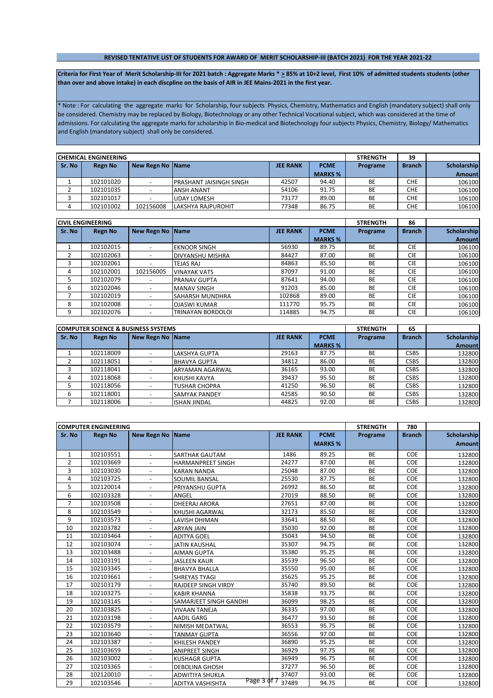## **REVISED TENTATIVE LIST OF STUDENTS FOR AWARD OF MERIT SCHOLARSHIP-III (BATCH 2021) FOR THE YEAR 2021-22**

Criteria for First Year of Merit Scholarship-III for 2021 batch : Aggregate Marks \* > 85% at 10+2 level, First 10% of admitted students students (other **than over and above intake) in each discpline on the basis of AIR in JEE Mains-2021 in the first year.**

\* Note : For calculating the aggregate marks for Scholarship, four subjects Physics, Chemistry, Mathematics and English (mandatory subject) shall only be considered. Chemistry may be replaced by Biology, Biotechnology or any other Technical Vocational subject, which was considered at the time of admissions. For calculating the aggregate marks for scholarship in Bio-medical and Biotechnology four subjects Physics, Chemistry, Biology/ Mathematics and English (mandatory subject) shall only be considered.

|        | ICHEMICAL ENGINEERING |                    |                          |                 |                | <b>STRENGTH</b> | 39            |                    |
|--------|-----------------------|--------------------|--------------------------|-----------------|----------------|-----------------|---------------|--------------------|
| Sr. No | <b>Regn No</b>        | New Regn No   Name |                          | <b>JEE RANK</b> | <b>PCME</b>    | Programe        | <b>Branch</b> | <b>Scholarship</b> |
|        |                       |                    |                          |                 | <b>MARKS %</b> |                 |               | Amountl            |
|        | 102101020             |                    | IPRASHANT JAISINGH SINGH | 42507           | 94.40          | BE              | <b>CHE</b>    | 106100             |
|        | 102101035             |                    | <b>ANSH ANANT</b>        | 54106           | 91.75          | BE              | <b>CHE</b>    | 106100             |
|        | 102101017             |                    | <b>UDAY LOMESH</b>       | 73177           | 89.00          | <b>BE</b>       | <b>CHE</b>    | 106100             |
| 4      | 102101002             | 102156008          | LAKSHYA RAJPUROHIT       | 77348           | 86.75          | BE              | <b>CHE</b>    | 106100             |

|        | <b>CIVIL ENGINEERING</b> |                          |                         |                 |                | <b>STRENGTH</b> | 86            |                    |
|--------|--------------------------|--------------------------|-------------------------|-----------------|----------------|-----------------|---------------|--------------------|
| Sr. No | Regn No                  | <b>New Regn No</b>       | <b>Name</b>             | <b>JEE RANK</b> | <b>PCME</b>    | Programe        | <b>Branch</b> | <b>Scholarship</b> |
|        |                          |                          |                         |                 | <b>MARKS %</b> |                 |               | Amount             |
|        | 102102015                | $\overline{\phantom{a}}$ | <b>EKNOOR SINGH</b>     | 56930           | 89.75          | <b>BE</b>       | <b>CIE</b>    | 106100             |
|        | 102102063                | $\overline{\phantom{a}}$ | DIVYANSHU MISHRA        | 84427           | 87.00          | <b>BE</b>       | <b>CIE</b>    | 106100             |
|        | 102102061                |                          | TEJAS RAJ               | 84863           | 85.50          | <b>BE</b>       | <b>CIE</b>    | 106100             |
| 4      | 102102001                | 102156005                | <b>VINAYAK VATS</b>     | 87097           | 91.00          | <b>BE</b>       | <b>CIE</b>    | 106100             |
|        | 102102079                |                          | <b>PRANAV GUPTA</b>     | 87641           | 94.00          | <b>BE</b>       | <b>CIE</b>    | 106100             |
| 6      | 102102046                |                          | <b>MANAV SINGH</b>      | 91203           | 85.00          | <b>BE</b>       | <b>CIE</b>    | 106100             |
|        | 102102019                |                          | <b>ISAHARSH MUNDHRA</b> | 102868          | 89.00          | <b>BE</b>       | <b>CIE</b>    | 106100             |
| 8      | 102102008                | $\overline{\phantom{a}}$ | <b>OJASWI KUMAR</b>     | 111770          | 95.75          | <b>BE</b>       | <b>CIE</b>    | 106100             |
| 9      | 102102076                | $\overline{\phantom{a}}$ | TRINAYAN BORDOLOI       | 114885          | 94.75          | <b>BE</b>       | <b>CIE</b>    | 106100             |

|        | <b>COMPUTER SCIENCE &amp; BUSINESS SYSTEMS</b> |                  |                      |                 |                | <b>STRENGTH</b> | 65            |               |
|--------|------------------------------------------------|------------------|----------------------|-----------------|----------------|-----------------|---------------|---------------|
| Sr. No | Regn No                                        | New Regn No Name |                      | <b>JEE RANK</b> | <b>PCME</b>    | Programe        | <b>Branch</b> | Scholarship   |
|        |                                                |                  |                      |                 | <b>MARKS %</b> |                 |               | <b>Amount</b> |
|        | 102118009                                      |                  | LAKSHYA GUPTA        | 29163           | 87.75          | <b>BE</b>       | <b>CSBS</b>   | 132800        |
|        | 102118051                                      |                  | <b>BHAVYA GUPTA</b>  | 34812           | 86.00          | <b>BE</b>       | <b>CSBS</b>   | 132800        |
|        | 102118041                                      |                  | ARYAMAN AGARWAL      | 36165           | 93.00          | <b>BE</b>       | <b>CSBS</b>   | 132800        |
| 4      | 102118068                                      |                  | KHUSHI KAVYA         | 39437           | 95.50          | <b>BE</b>       | <b>CSBS</b>   | 132800        |
|        | 102118056                                      |                  | TUSHAR CHOPRA        | 41250           | 96.50          | <b>BE</b>       | <b>CSBS</b>   | 132800        |
| 6      | 102118001                                      |                  | <b>SAMYAK PANDEY</b> | 42585           | 90.50          | <b>BE</b>       | <b>CSBS</b>   | 132800        |
|        | 102118006                                      |                  | <b>ISHAN JINDAL</b>  | 44825           | 92.00          | <b>BE</b>       | <b>CSBS</b>   | 132800        |

|                | <b>COMPUTER ENGINEERING</b> |                          |                                        |                 |                | <b>STRENGTH</b> | 780           |                    |
|----------------|-----------------------------|--------------------------|----------------------------------------|-----------------|----------------|-----------------|---------------|--------------------|
| Sr. No         | <b>Regn No</b>              | <b>New Regn No</b>       | <b>Name</b>                            | <b>JEE RANK</b> | <b>PCME</b>    | Programe        | <b>Branch</b> | <b>Scholarship</b> |
|                |                             |                          |                                        |                 | <b>MARKS %</b> |                 |               | <b>Amount</b>      |
| 1              | 102103551                   | $\overline{\phantom{a}}$ | SARTHAK GAUTAM                         | 1486            | 89.25          | <b>BE</b>       | COE           | 132800             |
| $\overline{2}$ | 102103669                   | $\overline{\phantom{a}}$ | <b>HARMANPREET SINGH</b>               | 24277           | 87.00          | <b>BE</b>       | COE           | 132800             |
| 3              | 102103030                   | $\blacksquare$           | <b>KARAN NANDA</b>                     | 25048           | 87.00          | <b>BE</b>       | COE           | 132800             |
| 4              | 102103725                   |                          | <b>SOUMIL BANSAL</b>                   | 25530           | 87.75          | <b>BE</b>       | COE           | 132800             |
| 5              | 102120014                   |                          | PRIYANSHU GUPTA                        | 26992           | 86.50          | BE              | COE           | 132800             |
| 6              | 102103328                   | $\overline{\phantom{a}}$ | ANGEL                                  | 27019           | 88.50          | <b>BE</b>       | COE           | 132800             |
| $\overline{7}$ | 102103508                   |                          | <b>DHEERAJ ARORA</b>                   | 27651           | 87.00          | BE              | COE           | 132800             |
| 8              | 102103549                   | $\overline{a}$           | KHUSHI AGARWAL                         | 32173           | 85.50          | <b>BE</b>       | COE           | 132800             |
| 9              | 102103573                   | $\overline{\phantom{a}}$ | LAVISH DHIMAN                          | 33641           | 88.50          | <b>BE</b>       | COE           | 132800             |
| 10             | 102103782                   | $\blacksquare$           | <b>ARYAN JAIN</b>                      | 35030           | 92.00          | BE              | COE           | 132800             |
| 11             | 102103464                   |                          | <b>ADITYA GOEL</b>                     | 35043           | 94.50          | <b>BE</b>       | COE           | 132800             |
| 12             | 102103074                   |                          | <b>JATIN KAUSHAL</b>                   | 35307           | 94.75          | <b>BE</b>       | COE           | 132800             |
| 13             | 102103488                   | $\overline{\phantom{a}}$ | <b>AIMAN GUPTA</b>                     | 35380           | 95.25          | <b>BE</b>       | COE           | 132800             |
| 14             | 102103191                   |                          | <b>JASLEEN KAUR</b>                    | 35539           | 96.50          | BE              | COE           | 132800             |
| 15             | 102103345                   | $\overline{\phantom{a}}$ | <b>BHAVYA BHALLA</b>                   | 35550           | 95.00          | <b>BE</b>       | COE           | 132800             |
| 16             | 102103661                   |                          | <b>SHREYAS TYAGI</b>                   | 35625           | 95.25          | <b>BE</b>       | COE           | 132800             |
| 17             | 102103179                   | $\blacksquare$           | RAJDEEP SINGH VIRDY                    | 35740           | 89.50          | <b>BE</b>       | COE           | 132800             |
| 18             | 102103275                   |                          | <b>KABIR KHANNA</b>                    | 35838           | 93.75          | <b>BE</b>       | COE           | 132800             |
| 19             | 102103145                   |                          | SAMARJEET SINGH GANDHI                 | 36099           | 98.25          | <b>BE</b>       | COE           | 132800             |
| 20             | 102103825                   | $\overline{\phantom{a}}$ | <b>VIVAAN TANEJA</b>                   | 36335           | 97.00          | <b>BE</b>       | COE           | 132800             |
| 21             | 102103198                   | $\overline{a}$           | <b>AADIL GARG</b>                      | 36477           | 93.50          | <b>BE</b>       | COE           | 132800             |
| 22             | 102103579                   | $\overline{\phantom{a}}$ | NIMISH MEDATWAL                        | 36553           | 95.75          | <b>BE</b>       | COE           | 132800             |
| 23             | 102103640                   |                          | <b>TANMAY GUPTA</b>                    | 36556           | 97.00          | <b>BE</b>       | COE           | 132800             |
| 24             | 102103387                   | $\blacksquare$           | <b>KHILESH PANDEY</b>                  | 36890           | 95.25          | <b>BE</b>       | COE           | 132800             |
| 25             | 102103659                   |                          | <b>ANIPREET SINGH</b>                  | 36929           | 97.75          | <b>BE</b>       | COE           | 132800             |
| 26             | 102103002                   | $\overline{a}$           | <b>KUSHAGR GUPTA</b>                   | 36949           | 96.75          | <b>BE</b>       | COE           | 132800             |
| 27             | 102103365                   | $\overline{\phantom{a}}$ | <b>DEBOLINA GHOSH</b>                  | 37277           | 96.50          | <b>BE</b>       | COE           | 132800             |
| 28             | 102120010                   | $\blacksquare$           | ADWITIYA SHUKLA                        | 37407           | 93.00          | <b>BE</b>       | COE           | 132800             |
| 29             | 102103546                   |                          | Page 3 of 7<br><b>ADITYA VASHISHTA</b> | 37489           | 94.75          | <b>BE</b>       | COE           | 132800             |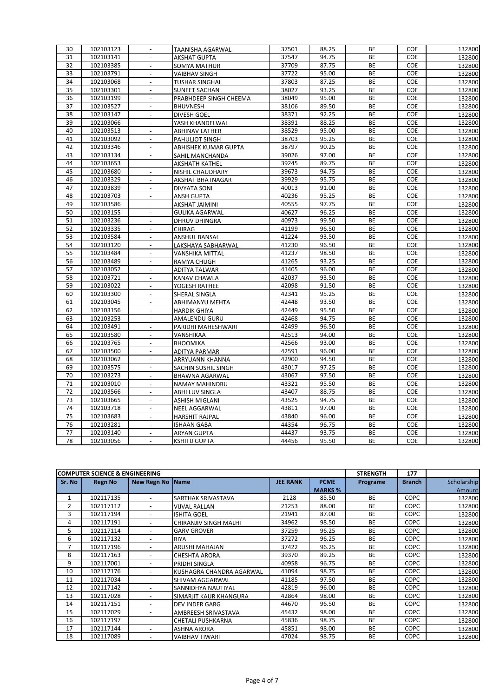| 30 | 102103123 | $\overline{\phantom{a}}$    | <b>TAANISHA AGARWAL</b> | 37501 | 88.25 | <b>BE</b> | COE | 132800 |
|----|-----------|-----------------------------|-------------------------|-------|-------|-----------|-----|--------|
| 31 | 102103141 | $\blacksquare$              | <b>AKSHAT GUPTA</b>     | 37547 | 94.75 | <b>BE</b> | COE | 132800 |
| 32 | 102103385 | $\overline{a}$              | SOMYA MATHUR            | 37709 | 87.75 | BE        | COE | 132800 |
| 33 | 102103791 | $\blacksquare$              | <b>VAIBHAV SINGH</b>    | 37722 | 95.00 | BE        | COE | 132800 |
| 34 | 102103068 | $\overline{\phantom{a}}$    | <b>TUSHAR SINGHAL</b>   | 37803 | 87.25 | BE        | COE | 132800 |
| 35 | 102103301 | $\blacksquare$              | <b>SUNEET SACHAN</b>    | 38027 | 93.25 | BE        | COE | 132800 |
| 36 | 102103199 | $\overline{a}$              | PRABHDEEP SINGH CHEEMA  | 38049 | 95.00 | BE        | COE | 132800 |
| 37 | 102103527 | $\mathcal{L}^{\mathcal{A}}$ | <b>BHUVNESH</b>         | 38106 | 89.50 | <b>BE</b> | COE | 132800 |
| 38 | 102103147 | $\overline{a}$              | DIVESH GOEL             | 38371 | 92.25 | BE        | COE | 132800 |
| 39 | 102103066 | $\overline{a}$              | YASH KHANDELWAL         | 38391 | 88.25 | <b>BE</b> | COE | 132800 |
| 40 | 102103513 | $\blacksquare$              | <b>ABHINAV LATHER</b>   | 38529 | 95.00 | BE        | COE | 132800 |
| 41 | 102103092 | $\blacksquare$              | PAHULJOT SINGH          | 38703 | 95.25 | BE        | COE | 132800 |
| 42 | 102103346 | $\blacksquare$              | ABHISHEK KUMAR GUPTA    | 38797 | 90.25 | BE        | COE | 132800 |
| 43 | 102103134 | $\overline{\phantom{a}}$    | SAHIL MANCHANDA         | 39026 | 97.00 | BE        | COE | 132800 |
| 44 | 102103653 | $\blacksquare$              | AKSHATH KATHEL          | 39245 | 89.75 | BE        | COE | 132800 |
| 45 | 102103680 |                             | NISHIL CHAUDHARY        | 39673 | 94.75 | <b>BE</b> | COE | 132800 |
| 46 | 102103329 | $\blacksquare$              | AKSHAT BHATNAGAR        | 39929 | 95.75 | <b>BE</b> | COE | 132800 |
| 47 | 102103839 |                             | <b>DIVYATA SONI</b>     | 40013 | 91.00 | <b>BE</b> | COE | 132800 |
| 48 | 102103703 | $\overline{\phantom{a}}$    | <b>ANSH GUPTA</b>       | 40236 | 95.25 | BE        | COE | 132800 |
| 49 | 102103586 | $\overline{\phantom{a}}$    | AKSHAT JAIMINI          | 40555 | 97.75 | BE        | COE | 132800 |
| 50 | 102103155 | $\overline{\phantom{a}}$    | <b>GULIKA AGARWAL</b>   | 40627 | 96.25 | BE        | COE | 132800 |
| 51 | 102103236 | $\overline{a}$              | DHRUV DHINGRA           | 40973 | 99.50 | BE        | COE | 132800 |
| 52 | 102103335 | $\blacksquare$              | CHIRAG                  | 41199 | 96.50 | BE        | COE | 132800 |
| 53 | 102103584 | $\overline{a}$              | ANSHUL BANSAL           | 41224 | 93.50 | BE        | COE | 132800 |
| 54 | 102103120 | $\omega$                    | LAKSHAYA SABHARWAL      | 41230 | 96.50 | BE        | COE | 132800 |
| 55 | 102103484 | $\overline{\phantom{a}}$    | VANSHIKA MITTAL         | 41237 | 98.50 | BE        | COE | 132800 |
| 56 | 102103489 | $\omega$                    | RAMYA CHUGH             | 41265 | 93.25 | BE        | COE | 132800 |
| 57 | 102103052 | $\blacksquare$              | ADITYA TALWAR           | 41405 | 96.00 | BE        | COE | 132800 |
| 58 | 102103721 | $\blacksquare$              | KANAV CHAWLA            | 42037 | 93.50 | BE        | COE | 132800 |
| 59 | 102103022 | $\overline{\phantom{a}}$    | YOGESH RATHEE           | 42098 | 91.50 | BE        | COE | 132800 |
| 60 | 102103300 | $\overline{a}$              | SHERAL SINGLA           | 42341 | 95.25 | BE        | COE | 132800 |
| 61 | 102103045 | $\overline{\phantom{a}}$    | ABHIMANYU MEHTA         | 42448 | 93.50 | BE        | COE | 132800 |
| 62 | 102103156 | ÷.                          | <b>HARDIK GHIYA</b>     | 42449 | 95.50 | <b>BE</b> | COE | 132800 |
| 63 | 102103253 | $\Box$                      | AMALENDU GURU           | 42468 | 94.75 | BE        | COE | 132800 |
| 64 | 102103491 | $\Box$                      | PARIDHI MAHESHWARI      | 42499 | 96.50 | BE        | COE | 132800 |
| 65 | 102103580 | $\overline{\phantom{a}}$    | VANSHIKAA               | 42513 | 94.00 | BE        | COE | 132800 |
| 66 | 102103765 | $\overline{\phantom{a}}$    | <b>BHOOMIKA</b>         | 42566 | 93.00 | BE        | COE | 132800 |
| 67 | 102103500 | $\Box$                      | ADITYA PARMAR           | 42591 | 96.00 | <b>BE</b> | COE | 132800 |
| 68 | 102103062 |                             | ARRYUANN KHANNA         | 42900 | 94.50 | <b>BE</b> | COE | 132800 |
| 69 | 102103575 | $\Box$                      | SACHIN SUSHIL SINGH     | 43017 | 97.25 | <b>BE</b> | COE | 132800 |
| 70 | 102103273 | $\blacksquare$              | BHAWNA AGARWAL          | 43067 | 97.50 | <b>BE</b> | COE | 132800 |
| 71 | 102103010 | $\overline{\phantom{a}}$    | NAMAY MAHINDRU          | 43321 | 95.50 | BE        | COE | 132800 |
| 72 | 102103566 | $\overline{\phantom{a}}$    | ABHI LUV SINGLA         | 43407 | 88.75 | BE        | COE | 132800 |
| 73 | 102103665 | $\blacksquare$              | <b>ASHISH MIGLANI</b>   | 43525 | 94.75 | BE        | COE | 132800 |
| 74 | 102103718 | $\overline{a}$              | NEEL AGGARWAL           | 43811 | 97.00 | BE        | COE | 132800 |
| 75 | 102103683 | $\omega$                    | <b>HARSHIT RAJPAL</b>   | 43840 | 96.00 | <b>BE</b> | COE | 132800 |
| 76 | 102103281 | $\overline{a}$              | <b>ISHAAN GABA</b>      | 44354 | 96.75 | BE        | COE | 132800 |
| 77 | 102103140 | $\mathcal{L}^{\pm}$         | <b>ARYAN GUPTA</b>      | 44437 | 93.75 | BE        | COE | 132800 |
| 78 | 102103056 | $\blacksquare$              | <b>KSHITIJ GUPTA</b>    | 44456 | 95.50 | <b>BE</b> | COE | 132800 |

|        | <b>COMPUTER SCIENCE &amp; ENGINEERING</b> |                          |                          |                 |                | <b>STRENGTH</b> | 177           |             |
|--------|-------------------------------------------|--------------------------|--------------------------|-----------------|----------------|-----------------|---------------|-------------|
| Sr. No | <b>Regn No</b>                            | New Regn No Name         |                          | <b>JEE RANK</b> | <b>PCME</b>    | Programe        | <b>Branch</b> | Scholarship |
|        |                                           |                          |                          |                 | <b>MARKS %</b> |                 |               | Amount      |
|        | 102117135                                 |                          | SARTHAK SRIVASTAVA       | 2128            | 85.50          | <b>BE</b>       | <b>COPC</b>   | 132800      |
| 2      | 102117112                                 | $\overline{\phantom{a}}$ | <b>VIJVAL RALLAN</b>     | 21253           | 88.00          | <b>BE</b>       | <b>COPC</b>   | 132800      |
| 3      | 102117194                                 | $\overline{\phantom{a}}$ | <b>ISHITA GOEL</b>       | 21941           | 87.00          | <b>BE</b>       | <b>COPC</b>   | 132800      |
| 4      | 102117191                                 | $\overline{\phantom{a}}$ | CHIRANJIV SINGH MALHI    | 34962           | 98.50          | <b>BE</b>       | <b>COPC</b>   | 132800      |
| 5      | 102117114                                 | $\overline{\phantom{a}}$ | <b>GARV GROVER</b>       | 37259           | 96.25          | <b>BE</b>       | <b>COPC</b>   | 132800      |
| 6      | 102117132                                 | $\overline{\phantom{a}}$ | <b>RIYA</b>              | 37272           | 96.25          | <b>BE</b>       | <b>COPC</b>   | 132800      |
| 7      | 102117196                                 | $\overline{\phantom{a}}$ | ARUSHI MAHAJAN           | 37422           | 96.25          | <b>BE</b>       | <b>COPC</b>   | 132800      |
| 8      | 102117163                                 | $\overline{\phantom{a}}$ | <b>CHESHTA ARORA</b>     | 39370           | 89.25          | <b>BE</b>       | <b>COPC</b>   | 132800      |
| 9      | 102117001                                 | $\overline{\phantom{a}}$ | PRIDHI SINGLA            | 40958           | 96.75          | <b>BE</b>       | <b>COPC</b>   | 132800      |
| 10     | 102117176                                 | $\overline{\phantom{0}}$ | KUSHAGRA CHANDRA AGARWAL | 41094           | 98.75          | <b>BE</b>       | <b>COPC</b>   | 132800      |
| 11     | 102117034                                 | $\overline{\phantom{a}}$ | SHIVAM AGGARWAL          | 41185           | 97.50          | <b>BE</b>       | <b>COPC</b>   | 132800      |
| 12     | 102117142                                 | $\overline{\phantom{a}}$ | SANNIDHYA NAUTIYAL       | 42819           | 96.00          | <b>BE</b>       | <b>COPC</b>   | 132800      |
| 13     | 102117028                                 | $\overline{\phantom{a}}$ | SIMARJIT KAUR KHANGURA   | 42864           | 98.00          | <b>BE</b>       | COPC          | 132800      |
| 14     | 102117151                                 | $\overline{\phantom{0}}$ | <b>DEV INDER GARG</b>    | 44670           | 96.50          | <b>BE</b>       | <b>COPC</b>   | 132800      |
| 15     | 102117029                                 | $\overline{\phantom{a}}$ | AMBREESH SRIVASTAVA      | 45432           | 98.00          | <b>BE</b>       | <b>COPC</b>   | 132800      |
| 16     | 102117197                                 | $\overline{\phantom{a}}$ | CHETALI PUSHKARNA        | 45836           | 98.75          | <b>BE</b>       | <b>COPC</b>   | 132800      |
| 17     | 102117144                                 | $\overline{\phantom{a}}$ | <b>ASHNA ARORA</b>       | 45851           | 98.00          | <b>BE</b>       | <b>COPC</b>   | 132800      |
| 18     | 102117089                                 | $\overline{\phantom{a}}$ | <b>VAIBHAV TIWARI</b>    | 47024           | 98.75          | <b>BE</b>       | <b>COPC</b>   | 132800      |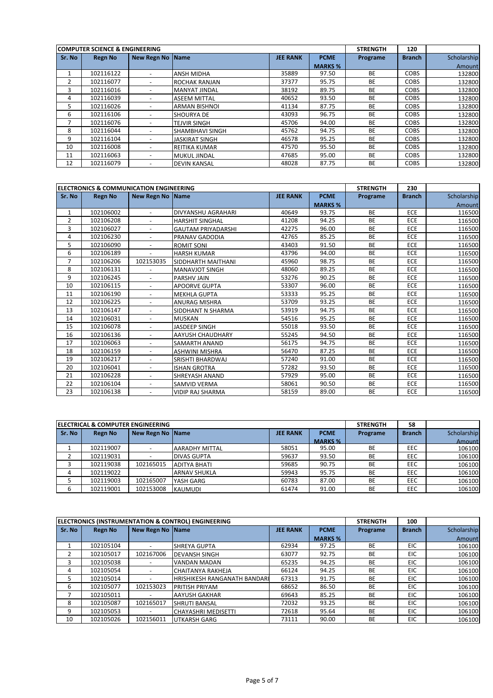|        | <b>COMPUTER SCIENCE &amp; ENGINEERING</b> |                          |                       |                 |                | <b>STRENGTH</b> | 120           |             |
|--------|-------------------------------------------|--------------------------|-----------------------|-----------------|----------------|-----------------|---------------|-------------|
| Sr. No | <b>Regn No</b>                            | <b>New Regn No Name</b>  |                       | <b>JEE RANK</b> | <b>PCME</b>    | Programe        | <b>Branch</b> | Scholarship |
|        |                                           |                          |                       |                 | <b>MARKS %</b> |                 |               | Amount      |
|        | 102116122                                 | $\overline{\phantom{0}}$ | <b>ANSH MIDHA</b>     | 35889           | 97.50          | <b>BE</b>       | <b>COBS</b>   | 132800      |
|        | 102116077                                 |                          | <b>ROCHAK RANJAN</b>  | 37377           | 95.75          | <b>BE</b>       | <b>COBS</b>   | 132800      |
| 3      | 102116016                                 | $\overline{\phantom{0}}$ | <b>MANYAT JINDAL</b>  | 38192           | 89.75          | <b>BE</b>       | <b>COBS</b>   | 132800      |
| 4      | 102116039                                 |                          | <b>ASEEM MITTAL</b>   | 40652           | 93.50          | <b>BE</b>       | <b>COBS</b>   | 132800      |
| 5      | 102116026                                 |                          | <b>ARMAN BISHNOL</b>  | 41134           | 87.75          | <b>BE</b>       | <b>COBS</b>   | 132800      |
| 6      | 102116106                                 |                          | <b>SHOURYA DE</b>     | 43093           | 96.75          | <b>BE</b>       | <b>COBS</b>   | 132800      |
|        | 102116076                                 | $\overline{\phantom{0}}$ | <b>TEJVIR SINGH</b>   | 45706           | 94.00          | BE              | <b>COBS</b>   | 132800      |
| 8      | 102116044                                 | $\overline{\phantom{0}}$ | SHAMBHAVI SINGH       | 45762           | 94.75          | <b>BE</b>       | <b>COBS</b>   | 132800      |
| 9      | 102116104                                 | $\overline{\phantom{0}}$ | <b>JASKIRAT SINGH</b> | 46578           | 95.25          | <b>BE</b>       | <b>COBS</b>   | 132800      |
| 10     | 102116008                                 |                          | <b>REITIKA KUMAR</b>  | 47570           | 95.50          | <b>BE</b>       | <b>COBS</b>   | 132800      |
| 11     | 102116063                                 | $\overline{\phantom{0}}$ | <b>MUKUL JINDAL</b>   | 47685           | 95.00          | <b>BE</b>       | <b>COBS</b>   | 132800      |
| 12     | 102116079                                 |                          | <b>DEVIN KANSAL</b>   | 48028           | 87.75          | <b>BE</b>       | <b>COBS</b>   | 132800      |

|                | <b>ELECTRONICS &amp; COMMUNICATION ENGINEERING</b> |                          |                           |                 |                | <b>STRENGTH</b> | 230           |             |
|----------------|----------------------------------------------------|--------------------------|---------------------------|-----------------|----------------|-----------------|---------------|-------------|
| Sr. No         | <b>Regn No</b>                                     | New Regn No Name         |                           | <b>JEE RANK</b> | <b>PCME</b>    | Programe        | <b>Branch</b> | Scholarship |
|                |                                                    |                          |                           |                 | <b>MARKS %</b> |                 |               | Amount      |
| 1              | 102106002                                          | $\overline{\phantom{a}}$ | DIVYANSHU AGRAHARI        | 40649           | 93.75          | <b>BE</b>       | <b>ECE</b>    | 116500      |
| $\overline{2}$ | 102106208                                          | $\overline{\phantom{a}}$ | <b>HARSHIT SINGHAL</b>    | 41208           | 94.25          | <b>BE</b>       | ECE           | 116500      |
| 3              | 102106027                                          | $\overline{\phantom{a}}$ | <b>GAUTAM PRIYADARSHI</b> | 42275           | 96.00          | <b>BE</b>       | ECE           | 116500      |
| 4              | 102106230                                          |                          | PRANAV GADODIA            | 42765           | 85.25          | <b>BE</b>       | ECE           | 116500      |
| 5              | 102106090                                          |                          | <b>ROMIT SONI</b>         | 43403           | 91.50          | <b>BE</b>       | <b>ECE</b>    | 116500      |
| 6              | 102106189                                          | $\overline{a}$           | <b>HARSH KUMAR</b>        | 43796           | 94.00          | <b>BE</b>       | <b>ECE</b>    | 116500      |
| 7              | 102106206                                          | 102153035                | SIDDHARTH MAITHANI        | 45960           | 98.75          | <b>BE</b>       | <b>ECE</b>    | 116500      |
| 8              | 102106131                                          |                          | <b>MANAVJOT SINGH</b>     | 48060           | 89.25          | <b>BE</b>       | <b>ECE</b>    | 116500      |
| 9              | 102106245                                          | $\overline{\phantom{a}}$ | PARSHV JAIN               | 53276           | 90.25          | <b>BE</b>       | ECE           | 116500      |
| 10             | 102106115                                          | $\overline{\phantom{a}}$ | <b>APOORVE GUPTA</b>      | 53307           | 96.00          | <b>BE</b>       | <b>ECE</b>    | 116500      |
| 11             | 102106190                                          |                          | <b>MEKHLA GUPTA</b>       | 53333           | 95.25          | <b>BE</b>       | ECE           | 116500      |
| 12             | 102106225                                          |                          | <b>ANURAG MISHRA</b>      | 53709           | 93.25          | <b>BE</b>       | <b>ECE</b>    | 116500      |
| 13             | 102106147                                          | $\sim$                   | SIDDHANT N SHARMA         | 53919           | 94.75          | <b>BE</b>       | <b>ECE</b>    | 116500      |
| 14             | 102106031                                          |                          | <b>MUSKAN</b>             | 54516           | 95.25          | <b>BE</b>       | <b>ECE</b>    | 116500      |
| 15             | 102106078                                          | $\overline{\phantom{a}}$ | JASDEEP SINGH             | 55018           | 93.50          | <b>BE</b>       | <b>ECE</b>    | 116500      |
| 16             | 102106136                                          | $\overline{\phantom{a}}$ | AAYUSH CHAUDHARY          | 55245           | 94.50          | <b>BE</b>       | ECE           | 116500      |
| 17             | 102106063                                          | $\overline{\phantom{a}}$ | <b>SAMARTH ANAND</b>      | 56175           | 94.75          | <b>BE</b>       | <b>ECE</b>    | 116500      |
| 18             | 102106159                                          |                          | <b>ASHWINI MISHRA</b>     | 56470           | 87.25          | <b>BE</b>       | ECE           | 116500      |
| 19             | 102106217                                          | $\overline{\phantom{a}}$ | SRISHTI BHARDWAJ          | 57240           | 91.00          | <b>BE</b>       | ECE           | 116500      |
| 20             | 102106041                                          | $\blacksquare$           | <b>ISHAN GROTRA</b>       | 57282           | 93.50          | <b>BE</b>       | <b>ECE</b>    | 116500      |
| 21             | 102106228                                          | $\overline{\phantom{a}}$ | SHREYASH ANAND            | 57929           | 95.00          | <b>BE</b>       | <b>ECE</b>    | 116500      |
| 22             | 102106104                                          | $\overline{\phantom{a}}$ | <b>SAMVID VERMA</b>       | 58061           | 90.50          | BE              | <b>ECE</b>    | 116500      |
| 23             | 102106138                                          | $\overline{\phantom{a}}$ | <b>VIDIP RAJ SHARMA</b>   | 58159           | 89.00          | <b>BE</b>       | <b>ECE</b>    | 116500      |

|        | <b>IELECTRICAL &amp; COMPUTER ENGINEERING</b> |                  |                       |                 |                | <b>STRENGTH</b> | 58            |             |
|--------|-----------------------------------------------|------------------|-----------------------|-----------------|----------------|-----------------|---------------|-------------|
| Sr. No | Regn No                                       | New Regn No Name |                       | <b>JEE RANK</b> | <b>PCME</b>    | Programe        | <b>Branch</b> | Scholarship |
|        |                                               |                  |                       |                 | <b>MARKS %</b> |                 |               | Amount      |
|        | 102119007                                     |                  | <b>AARADHY MITTAL</b> | 58051           | 95.00          | BE              | EEC           | 106100      |
|        | 102119031                                     |                  | <b>DIVAS GUPTA</b>    | 59637           | 93.50          | <b>BE</b>       | EEC           | 106100      |
| 3      | 102119038                                     | 102165015        | <b>ADITYA BHATI</b>   | 59685           | 90.75          | <b>BE</b>       | EEC           | 106100      |
| 4      | 102119022                                     |                  | <b>ARNAV SHUKLA</b>   | 59943           | 95.75          | <b>BE</b>       | EEC           | 106100      |
|        | 102119003                                     | 102165007        | YASH GARG             | 60783           | 87.00          | <b>BE</b>       | EEC           | 106100      |
| 6      | 102119001                                     | 102153008        | <b>KAUMUDI</b>        | 61474           | 91.00          | BE              | EEC           | 106100      |

|        |                |                          | ELECTRONICS (INSTRUMENTATION & CONTROL) ENGINEERING |                 |                | <b>STRENGTH</b> | 100           |             |
|--------|----------------|--------------------------|-----------------------------------------------------|-----------------|----------------|-----------------|---------------|-------------|
| Sr. No | <b>Regn No</b> | New Regn No Name         |                                                     | <b>JEE RANK</b> | <b>PCME</b>    | Programe        | <b>Branch</b> | Scholarship |
|        |                |                          |                                                     |                 | <b>MARKS %</b> |                 |               | Amount      |
| 1      | 102105104      | $\overline{\phantom{a}}$ | <b>SHREYA GUPTA</b>                                 | 62934           | 97.25          | <b>BE</b>       | <b>EIC</b>    | 106100      |
|        | 102105017      | 102167006                | <b>DEVANSH SINGH</b>                                | 63077           | 92.75          | <b>BE</b>       | <b>EIC</b>    | 106100      |
| 3      | 102105038      |                          | <b>VANDAN MADAN</b>                                 | 65235           | 94.25          | <b>BE</b>       | <b>EIC</b>    | 106100      |
| 4      | 102105054      |                          | <b>CHAITANYA RAKHEJA</b>                            | 66124           | 94.25          | <b>BE</b>       | <b>EIC</b>    | 106100      |
| 5.     | 102105014      |                          | HRISHIKESH RANGANATH BANDARI                        | 67313           | 91.75          | <b>BE</b>       | <b>EIC</b>    | 106100      |
| 6      | 102105077      | 102153023                | <b>PRITISH PRIYAM</b>                               | 68652           | 86.50          | <b>BE</b>       | <b>EIC</b>    | 106100      |
|        | 102105011      |                          | <b>AAYUSH GAKHAR</b>                                | 69643           | 85.25          | <b>BE</b>       | <b>EIC</b>    | 106100      |
| 8      | 102105087      | 102165017                | <b>SHRUTI BANSAL</b>                                | 72032           | 93.25          | <b>BE</b>       | <b>EIC</b>    | 106100      |
| 9      | 102105053      |                          | <b>CHAYASHRI MEDISETTI</b>                          | 72618           | 95.64          | <b>BE</b>       | <b>EIC</b>    | 106100      |
| 10     | 102105026      | 102156011                | <b>UTKARSH GARG</b>                                 | 73111           | 90.00          | <b>BE</b>       | <b>EIC</b>    | 106100      |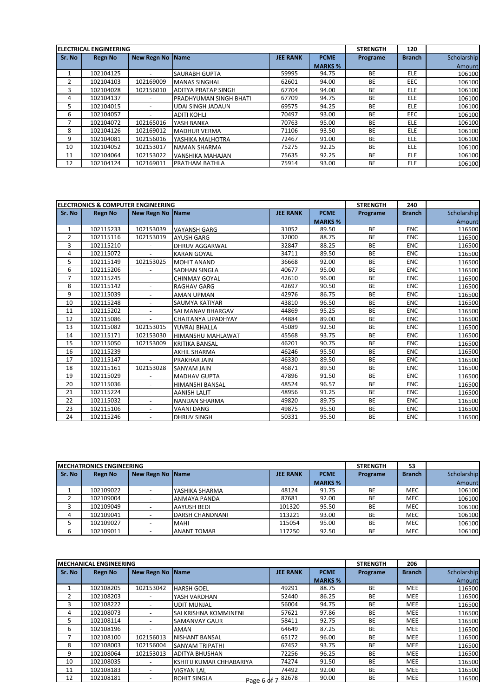|        | <b>IELECTRICAL ENGINEERING</b> |                          |                               |                 |                | <b>STRENGTH</b> | 120           |             |
|--------|--------------------------------|--------------------------|-------------------------------|-----------------|----------------|-----------------|---------------|-------------|
| Sr. No | <b>Regn No</b>                 | New Regn No Name         |                               | <b>JEE RANK</b> | <b>PCME</b>    | Programe        | <b>Branch</b> | Scholarship |
|        |                                |                          |                               |                 | <b>MARKS %</b> |                 |               | Amount      |
|        | 102104125                      |                          | <b>SAURABH GUPTA</b>          | 59995           | 94.75          | <b>BE</b>       | <b>ELE</b>    | 106100      |
| 2      | 102104103                      | 102169009                | <b>MANAS SINGHAL</b>          | 62601           | 94.00          | <b>BE</b>       | <b>EEC</b>    | 106100      |
| 3      | 102104028                      | 102156010                | <b>ADITYA PRATAP SINGH</b>    | 67704           | 94.00          | <b>BE</b>       | <b>ELE</b>    | 106100      |
| 4      | 102104137                      |                          | <b>PRADHYUMAN SINGH BHATI</b> | 67709           | 94.75          | <b>BE</b>       | <b>ELE</b>    | 106100      |
| 5      | 102104015                      | $\overline{\phantom{a}}$ | <b>UDAI SINGH JADAUN</b>      | 69575           | 94.25          | <b>BE</b>       | <b>ELE</b>    | 106100      |
| 6      | 102104057                      |                          | <b>ADITI KOHLI</b>            | 70497           | 93.00          | <b>BE</b>       | <b>EEC</b>    | 106100      |
|        | 102104072                      | 102165016                | YASH BANKA                    | 70763           | 95.00          | <b>BE</b>       | <b>ELE</b>    | 106100      |
| 8      | 102104126                      | 102169012                | <b>MADHUR VERMA</b>           | 71106           | 93.50          | <b>BE</b>       | <b>ELE</b>    | 106100      |
| 9      | 102104081                      | 102156016                | YASHIKA MALHOTRA              | 72467           | 91.00          | <b>BE</b>       | <b>ELE</b>    | 106100      |
| 10     | 102104052                      | 102153017                | <b>NAMAN SHARMA</b>           | 75275           | 92.25          | <b>BE</b>       | <b>ELE</b>    | 106100      |
| 11     | 102104064                      | 102153022                | <b>VANSHIKA MAHAJAN</b>       | 75635           | 92.25          | <b>BE</b>       | <b>ELE</b>    | 106100      |
| 12     | 102104124                      | 102169011                | <b>PRATHAM BATHLA</b>         | 75914           | 93.00          | <b>BE</b>       | <b>ELE</b>    | 106100      |

|                | <b>ELECTRONICS &amp; COMPUTER ENGINEERING</b> |                          |                        |                 |                | <b>STRENGTH</b> | 240           |             |
|----------------|-----------------------------------------------|--------------------------|------------------------|-----------------|----------------|-----------------|---------------|-------------|
| Sr. No         | <b>Regn No</b>                                | New Regn No Name         |                        | <b>JEE RANK</b> | <b>PCME</b>    | Programe        | <b>Branch</b> | Scholarship |
|                |                                               |                          |                        |                 | <b>MARKS %</b> |                 |               | Amount      |
| 1              | 102115233                                     | 102153039                | <b>VAYANSH GARG</b>    | 31052           | 89.50          | <b>BE</b>       | <b>ENC</b>    | 116500      |
| $\overline{2}$ | 102115116                                     | 102153019                | <b>AYUSH GARG</b>      | 32000           | 88.75          | <b>BE</b>       | <b>ENC</b>    | 116500      |
| 3              | 102115210                                     |                          | <b>DHRUV AGGARWAL</b>  | 32847           | 88.25          | <b>BE</b>       | <b>ENC</b>    | 116500      |
| 4              | 102115072                                     |                          | <b>KARAN GOYAL</b>     | 34711           | 89.50          | <b>BE</b>       | <b>ENC</b>    | 116500      |
| 5              | 102115149                                     | 102153025                | <b>MOHIT ANAND</b>     | 36668           | 92.00          | <b>BE</b>       | <b>ENC</b>    | 116500      |
| 6              | 102115206                                     |                          | <b>SADHAN SINGLA</b>   | 40677           | 95.00          | <b>BE</b>       | <b>ENC</b>    | 116500      |
| 7              | 102115245                                     | $\overline{\phantom{a}}$ | <b>CHINMAY GOYAL</b>   | 42610           | 96.00          | <b>BE</b>       | <b>ENC</b>    | 116500      |
| 8              | 102115142                                     | $\overline{\phantom{a}}$ | <b>RAGHAV GARG</b>     | 42697           | 90.50          | <b>BE</b>       | <b>ENC</b>    | 116500      |
| 9              | 102115039                                     |                          | <b>AMAN UPMAN</b>      | 42976           | 86.75          | <b>BE</b>       | <b>ENC</b>    | 116500      |
| 10             | 102115248                                     | $\overline{\phantom{a}}$ | SAUMYA KATIYAR         | 43810           | 96.50          | <b>BE</b>       | <b>ENC</b>    | 116500      |
| 11             | 102115202                                     |                          | SAI MANAV BHARGAV      | 44869           | 95.25          | <b>BE</b>       | <b>ENC</b>    | 116500      |
| 12             | 102115086                                     | $\overline{\phantom{a}}$ | CHAITANYA UPADHYAY     | 44884           | 89.00          | <b>BE</b>       | <b>ENC</b>    | 116500      |
| 13             | 102115082                                     | 102153015                | YUVRAJ BHALLA          | 45089           | 92.50          | <b>BE</b>       | <b>ENC</b>    | 116500      |
| 14             | 102115171                                     | 102153030                | HIMANSHU MAHLAWAT      | 45568           | 93.75          | <b>BE</b>       | <b>ENC</b>    | 116500      |
| 15             | 102115050                                     | 102153009                | <b>KRITIKA BANSAL</b>  | 46201           | 90.75          | <b>BE</b>       | <b>ENC</b>    | 116500      |
| 16             | 102115239                                     |                          | <b>AKHIL SHARMA</b>    | 46246           | 95.50          | BE              | <b>ENC</b>    | 116500      |
| 17             | 102115147                                     |                          | PRAKHAR JAIN           | 46330           | 89.50          | <b>BE</b>       | <b>ENC</b>    | 116500      |
| 18             | 102115161                                     | 102153028                | <b>SANYAM JAIN</b>     | 46871           | 89.50          | <b>BE</b>       | <b>ENC</b>    | 116500      |
| 19             | 102115029                                     |                          | <b>MADHAV GUPTA</b>    | 47896           | 91.50          | <b>BE</b>       | <b>ENC</b>    | 116500      |
| 20             | 102115036                                     | $\overline{\phantom{a}}$ | <b>HIMANSHI BANSAL</b> | 48524           | 96.57          | <b>BE</b>       | <b>ENC</b>    | 116500      |
| 21             | 102115224                                     |                          | <b>AANISH LALIT</b>    | 48956           | 91.25          | <b>BE</b>       | <b>ENC</b>    | 116500      |
| 22             | 102115032                                     |                          | <b>NANDAN SHARMA</b>   | 49820           | 89.75          | <b>BE</b>       | <b>ENC</b>    | 116500      |
| 23             | 102115106                                     |                          | <b>VAANI DANG</b>      | 49875           | 95.50          | <b>BE</b>       | <b>ENC</b>    | 116500      |
| 24             | 102115246                                     | $\overline{\phantom{a}}$ | <b>DHRUV SINGH</b>     | 50331           | 95.50          | <b>BE</b>       | <b>ENC</b>    | 116500      |

|        | <b>IMECHATRONICS ENGINEERING</b> |                    |                     |                 |                |           | 53            |             |
|--------|----------------------------------|--------------------|---------------------|-----------------|----------------|-----------|---------------|-------------|
| Sr. No | <b>Regn No</b>                   | New Regn No   Name |                     | <b>JEE RANK</b> | <b>PCME</b>    | Programe  | <b>Branch</b> | Scholarship |
|        |                                  |                    |                     |                 | <b>MARKS %</b> |           |               | Amount      |
|        | 102109022                        |                    | YASHIKA SHARMA      | 48124           | 91.75          | <b>BE</b> | MEC           | 106100      |
|        | 102109004                        |                    | <b>ANMAYA PANDA</b> | 87681           | 92.00          | BE        | <b>MEC</b>    | 106100      |
|        | 102109049                        |                    | AAYUSH BEDI         | 101320          | 95.50          | <b>BE</b> | MEC           | 106100      |
|        | 102109041                        |                    | DARSH CHANDNANI     | 113221          | 93.00          | BE        | <b>MEC</b>    | 106100      |
|        | 102109027                        |                    | <b>MAHI</b>         | 115054          | 95.00          | <b>BE</b> | MEC           | 106100      |
|        | 102109011                        |                    | <b>ANANT TOMAR</b>  | 117250          | 92.50          | <b>BE</b> | <b>MEC</b>    | 106100      |

|        | <b>IMECHANICAL ENGINEERING</b> |                          |                          |                   |                | <b>STRENGTH</b> | 206           |             |
|--------|--------------------------------|--------------------------|--------------------------|-------------------|----------------|-----------------|---------------|-------------|
| Sr. No | Regn No                        | New Regn No Name         |                          | <b>JEE RANK</b>   | <b>PCME</b>    | Programe        | <b>Branch</b> | Scholarship |
|        |                                |                          |                          |                   | <b>MARKS %</b> |                 |               | Amount      |
|        | 102108205                      | 102153042                | <b>HARSH GOEL</b>        | 49291             | 88.75          | <b>BE</b>       | <b>MEE</b>    | 116500      |
| 2      | 102108203                      |                          | YASH VARDHAN             | 52440             | 86.25          | <b>BE</b>       | <b>MEE</b>    | 116500      |
| 3      | 102108222                      |                          | <b>UDIT MUNJAL</b>       | 56004             | 94.75          | <b>BE</b>       | <b>MEE</b>    | 116500      |
| 4      | 102108073                      |                          | SAI KRISHNA KOMMINENI    | 57621             | 97.86          | <b>BE</b>       | <b>MEE</b>    | 116500      |
| 5.     | 102108114                      |                          | <b>SAMANVAY GAUR</b>     | 58411             | 92.75          | <b>BE</b>       | <b>MEE</b>    | 116500      |
| 6      | 102108196                      |                          | <b>AMAN</b>              | 64649             | 87.25          | <b>BE</b>       | <b>MEE</b>    | 116500      |
| 7      | 102108100                      | 102156013                | <b>NISHANT BANSAL</b>    | 65172             | 96.00          | <b>BE</b>       | <b>MEE</b>    | 116500      |
| 8      | 102108003                      | 102156004                | <b>SANYAM TRIPATHI</b>   | 67452             | 93.75          | <b>BE</b>       | <b>MEE</b>    | 116500      |
| 9      | 102108064                      | 102153013                | <b>ADITYA BHUSHAN</b>    | 72256             | 96.25          | <b>BE</b>       | <b>MEE</b>    | 116500      |
| 10     | 102108035                      |                          | KSHITIJ KUMAR CHHABARIYA | 74274             | 91.50          | <b>BE</b>       | <b>MEE</b>    | 116500      |
| 11     | 102108183                      | $\overline{\phantom{a}}$ | <b>VIGYAN LAL</b>        | 74492             | 92.00          | <b>BE</b>       | <b>MEE</b>    | 116500      |
| 12     | 102108181                      |                          | <b>ROHIT SINGLA</b>      | Page 6 of 7 82678 | 90.00          | <b>BE</b>       | <b>MEE</b>    | 116500      |
|        |                                |                          |                          |                   |                |                 |               |             |